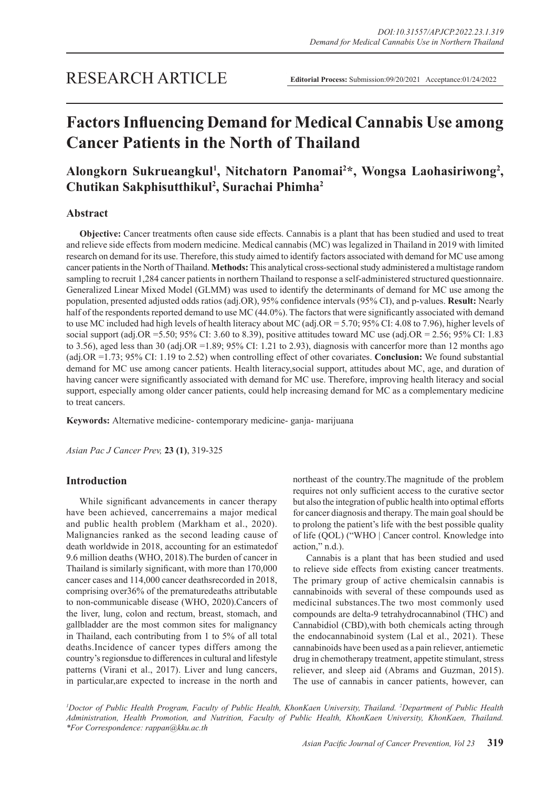# **Factors Influencing Demand for Medical Cannabis Use among Cancer Patients in the North of Thailand**

# Alongkorn Sukrueangkul<sup>1</sup>, Nitchatorn Panomai<sup>2\*</sup>, Wongsa Laohasiriwong<sup>2</sup>, **Chutikan Sakphisutthikul<sup>2</sup> , Surachai Phimha2**

# **Abstract**

**Objective:** Cancer treatments often cause side effects. Cannabis is a plant that has been studied and used to treat and relieve side effects from modern medicine. Medical cannabis (MC) was legalized in Thailand in 2019 with limited research on demand for its use. Therefore, this study aimed to identify factors associated with demand for MC use among cancer patients in the North of Thailand. **Methods:** This analytical cross-sectional study administered a multistage random sampling to recruit 1,284 cancer patients in northern Thailand to response a self-administered structured questionnaire. Generalized Linear Mixed Model (GLMM) was used to identify the determinants of demand for MC use among the population, presented adjusted odds ratios (adj.OR), 95% confidence intervals (95% CI), and p-values. **Result:** Nearly half of the respondents reported demand to use MC (44.0%). The factors that were significantly associated with demand to use MC included had high levels of health literacy about MC (adj.OR = 5.70; 95% CI: 4.08 to 7.96), higher levels of social support (adj.OR =5.50; 95% CI: 3.60 to 8.39), positive attitudes toward MC use (adj.OR = 2.56; 95% CI: 1.83 to 3.56), aged less than 30 (adj.OR = 1.89; 95% CI: 1.21 to 2.93), diagnosis with cancer for more than 12 months ago (adj.OR =1.73; 95% CI: 1.19 to 2.52) when controlling effect of other covariates. **Conclusion:** We found substantial demand for MC use among cancer patients. Health literacy,social support, attitudes about MC, age, and duration of having cancer were significantly associated with demand for MC use. Therefore, improving health literacy and social support, especially among older cancer patients, could help increasing demand for MC as a complementary medicine to treat cancers.

**Keywords:** Alternative medicine- contemporary medicine- ganja- marijuana

*Asian Pac J Cancer Prev,* **23 (1)**, 319-325

# **Introduction**

While significant advancements in cancer therapy have been achieved, cancerremains a major medical and public health problem (Markham et al., 2020). Malignancies ranked as the second leading cause of death worldwide in 2018, accounting for an estimatedof 9.6 million deaths (WHO, 2018).The burden of cancer in Thailand is similarly significant, with more than 170,000 cancer cases and 114,000 cancer deathsrecorded in 2018, comprising over36% of the prematuredeaths attributable to non-communicable disease (WHO, 2020).Cancers of the liver, lung, colon and rectum, breast, stomach, and gallbladder are the most common sites for malignancy in Thailand, each contributing from 1 to 5% of all total deaths.Incidence of cancer types differs among the country's regionsdue to differences in cultural and lifestyle patterns (Virani et al., 2017). Liver and lung cancers, in particular,are expected to increase in the north and northeast of the country.The magnitude of the problem requires not only sufficient access to the curative sector but also the integration of public health into optimal efforts for cancer diagnosis and therapy. The main goal should be to prolong the patient's life with the best possible quality of life (QOL) ("WHO | Cancer control. Knowledge into action," n.d.).

Cannabis is a plant that has been studied and used to relieve side effects from existing cancer treatments. The primary group of active chemicalsin cannabis is cannabinoids with several of these compounds used as medicinal substances.The two most commonly used compounds are delta-9 tetrahydrocannabinol (THC) and Cannabidiol (CBD),with both chemicals acting through the endocannabinoid system (Lal et al., 2021). These cannabinoids have been used as a pain reliever, antiemetic drug in chemotherapy treatment, appetite stimulant, stress reliever, and sleep aid (Abrams and Guzman, 2015). The use of cannabis in cancer patients, however, can

*1 Doctor of Public Health Program, Faculty of Public Health, KhonKaen University, Thailand. 2 Department of Public Health Administration, Health Promotion, and Nutrition, Faculty of Public Health, KhonKaen University, KhonKaen, Thailand. \*For Correspondence: rappan@kku.ac.th*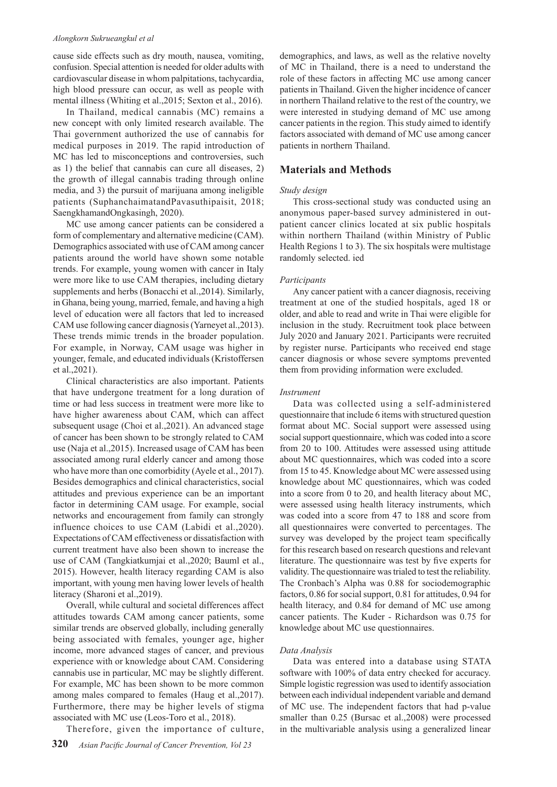#### *Alongkorn Sukrueangkul et al*

cause side effects such as dry mouth, nausea, vomiting, confusion. Special attention is needed for older adults with cardiovascular disease in whom palpitations, tachycardia, high blood pressure can occur, as well as people with mental illness (Whiting et al.,2015; Sexton et al., 2016).

In Thailand, medical cannabis (MC) remains a new concept with only limited research available. The Thai government authorized the use of cannabis for medical purposes in 2019. The rapid introduction of MC has led to misconceptions and controversies, such as 1) the belief that cannabis can cure all diseases, 2) the growth of illegal cannabis trading through online media, and 3) the pursuit of marijuana among ineligible patients (SuphanchaimatandPavasuthipaisit, 2018; SaengkhamandOngkasingh, 2020).

MC use among cancer patients can be considered a form of complementary and alternative medicine (CAM). Demographics associated with use of CAM among cancer patients around the world have shown some notable trends. For example, young women with cancer in Italy were more like to use CAM therapies, including dietary supplements and herbs (Bonacchi et al.,2014). Similarly, in Ghana, being young, married, female, and having a high level of education were all factors that led to increased CAM use following cancer diagnosis (Yarneyet al.,2013). These trends mimic trends in the broader population. For example, in Norway, CAM usage was higher in younger, female, and educated individuals (Kristoffersen et al.,2021).

Clinical characteristics are also important. Patients that have undergone treatment for a long duration of time or had less success in treatment were more like to have higher awareness about CAM, which can affect subsequent usage (Choi et al.,2021). An advanced stage of cancer has been shown to be strongly related to CAM use (Naja et al.,2015). Increased usage of CAM has been associated among rural elderly cancer and among those who have more than one comorbidity (Ayele et al., 2017). Besides demographics and clinical characteristics, social attitudes and previous experience can be an important factor in determining CAM usage. For example, social networks and encouragement from family can strongly influence choices to use CAM (Labidi et al.,2020). Expectations of CAM effectiveness or dissatisfaction with current treatment have also been shown to increase the use of CAM (Tangkiatkumjai et al.,2020; Bauml et al., 2015). However, health literacy regarding CAM is also important, with young men having lower levels of health literacy (Sharoni et al.,2019).

Overall, while cultural and societal differences affect attitudes towards CAM among cancer patients, some similar trends are observed globally, including generally being associated with females, younger age, higher income, more advanced stages of cancer, and previous experience with or knowledge about CAM. Considering cannabis use in particular, MC may be slightly different. For example, MC has been shown to be more common among males compared to females (Haug et al.,2017). Furthermore, there may be higher levels of stigma associated with MC use (Leos-Toro et al., 2018).

Therefore, given the importance of culture,

demographics, and laws, as well as the relative novelty of MC in Thailand, there is a need to understand the role of these factors in affecting MC use among cancer patients in Thailand. Given the higher incidence of cancer in northern Thailand relative to the rest of the country, we were interested in studying demand of MC use among cancer patients in the region. This study aimed to identify factors associated with demand of MC use among cancer patients in northern Thailand.

# **Materials and Methods**

## *Study design*

This cross-sectional study was conducted using an anonymous paper-based survey administered in outpatient cancer clinics located at six public hospitals within northern Thailand (within Ministry of Public Health Regions 1 to 3). The six hospitals were multistage randomly selected. ied

#### *Participants*

Any cancer patient with a cancer diagnosis, receiving treatment at one of the studied hospitals, aged 18 or older, and able to read and write in Thai were eligible for inclusion in the study. Recruitment took place between July 2020 and January 2021. Participants were recruited by register nurse. Participants who received end stage cancer diagnosis or whose severe symptoms prevented them from providing information were excluded.

#### *Instrument*

Data was collected using a self-administered questionnaire that include 6 items with structured question format about MC. Social support were assessed using social support questionnaire, which was coded into a score from 20 to 100. Attitudes were assessed using attitude about MC questionnaires, which was coded into a score from 15 to 45. Knowledge about MC were assessed using knowledge about MC questionnaires, which was coded into a score from 0 to 20, and health literacy about MC, were assessed using health literacy instruments, which was coded into a score from 47 to 188 and score from all questionnaires were converted to percentages. The survey was developed by the project team specifically for this research based on research questions and relevant literature. The questionnaire was test by five experts for validity. The questionnaire was trialed to test the reliability. The Cronbach's Alpha was 0.88 for sociodemographic factors, 0.86 for social support, 0.81 for attitudes, 0.94 for health literacy, and 0.84 for demand of MC use among cancer patients. The Kuder - Richardson was 0.75 for knowledge about MC use questionnaires.

#### *Data Analysis*

Data was entered into a database using STATA software with 100% of data entry checked for accuracy. Simple logistic regression was used to identify association between each individual independent variable and demand of MC use. The independent factors that had p-value smaller than 0.25 (Bursac et al.,2008) were processed in the multivariable analysis using a generalized linear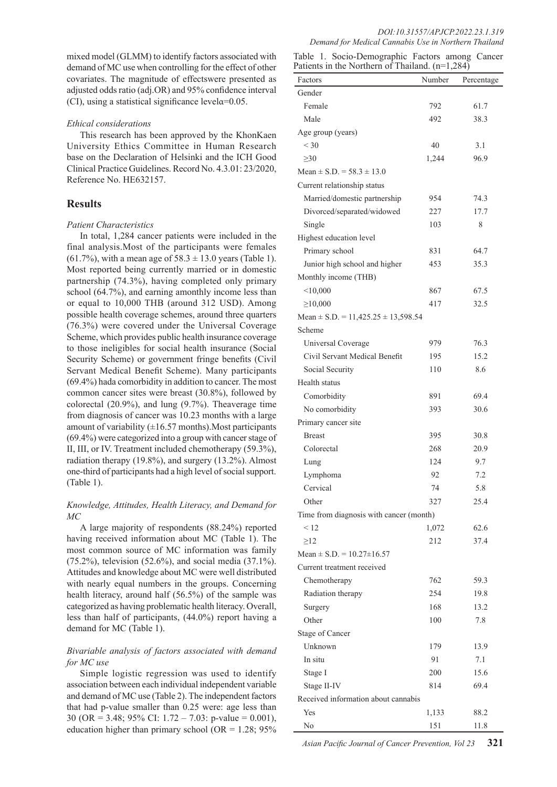mixed model (GLMM) to identify factors associated with demand of MC use when controlling for the effect of other covariates. The magnitude of effectswere presented as adjusted odds ratio (adj.OR) and 95% confidence interval (CI), using a statistical significance levelα=0.05.

#### *Ethical considerations*

This research has been approved by the KhonKaen University Ethics Committee in Human Research base on the Declaration of Helsinki and the ICH Good Clinical Practice Guidelines. Record No. 4.3.01: 23/2020, Reference No. HE632157.

#### **Results**

#### *Patient Characteristics*

In total, 1,284 cancer patients were included in the final analysis.Most of the participants were females  $(61.7\%)$ , with a mean age of  $58.3 \pm 13.0$  years (Table 1). Most reported being currently married or in domestic partnership (74.3%), having completed only primary school (64.7%), and earning amonthly income less than or equal to 10,000 THB (around 312 USD). Among possible health coverage schemes, around three quarters (76.3%) were covered under the Universal Coverage Scheme, which provides public health insurance coverage to those ineligibles for social health insurance (Social Security Scheme) or government fringe benefits (Civil Servant Medical Benefit Scheme). Many participants (69.4%) hada comorbidity in addition to cancer. The most common cancer sites were breast (30.8%), followed by colorectal (20.9%), and lung (9.7%). Theaverage time from diagnosis of cancer was 10.23 months with a large amount of variability  $(\pm 16.57 \text{ months})$ . Most participants (69.4%) were categorized into a group with cancer stage of II, III, or IV. Treatment included chemotherapy (59.3%), radiation therapy (19.8%), and surgery (13.2%). Almost one-third of participants had a high level of social support. (Table 1).

#### *Knowledge, Attitudes, Health Literacy, and Demand for MC*

A large majority of respondents (88.24%) reported having received information about MC (Table 1). The most common source of MC information was family (75.2%), television (52.6%), and social media (37.1%). Attitudes and knowledge about MC were well distributed with nearly equal numbers in the groups. Concerning health literacy, around half (56.5%) of the sample was categorized as having problematic health literacy. Overall, less than half of participants, (44.0%) report having a demand for MC (Table 1).

#### *Bivariable analysis of factors associated with demand for MC use*

Simple logistic regression was used to identify association between each individual independent variable and demand of MC use (Table 2). The independent factors that had p-value smaller than 0.25 were: age less than 30 (OR = 3.48; 95% CI:  $1.72 - 7.03$ : p-value = 0.001), education higher than primary school (OR =  $1.28$ ; 95%

|  | Table 1. Socio-Demographic Factors among Cancer   |  |  |
|--|---------------------------------------------------|--|--|
|  | Patients in the Northern of Thailand. $(n=1,284)$ |  |  |

| r ativitis in the inditional of Thanand. $(n-1,264)$ |        |            |  |  |
|------------------------------------------------------|--------|------------|--|--|
| Factors                                              | Number | Percentage |  |  |
| Gender                                               |        |            |  |  |
| Female                                               | 792    | 61.7       |  |  |
| Male                                                 | 492    | 38.3       |  |  |
| Age group (years)                                    |        |            |  |  |
| $<$ 30                                               | 40     | 3.1        |  |  |
| $\geq 30$                                            | 1,244  | 96.9       |  |  |
| Mean $\pm$ S.D. = 58.3 $\pm$ 13.0                    |        |            |  |  |
| Current relationship status                          |        |            |  |  |
| Married/domestic partnership                         | 954    | 74.3       |  |  |
| Divorced/separated/widowed                           | 227    | 17.7       |  |  |
| Single                                               | 103    | 8          |  |  |
| Highest education level                              |        |            |  |  |
| Primary school                                       | 831    | 64.7       |  |  |
| Junior high school and higher                        | 453    | 35.3       |  |  |
| Monthly income (THB)                                 |        |            |  |  |
| < 10,000                                             | 867    | 67.5       |  |  |
| $\geq 10,000$                                        | 417    | 32.5       |  |  |
| Mean $\pm$ S.D. = 11,425.25 $\pm$ 13,598.54          |        |            |  |  |
| Scheme                                               |        |            |  |  |
| Universal Coverage                                   | 979    | 76.3       |  |  |
| Civil Servant Medical Benefit                        | 195    | 15.2       |  |  |
| Social Security                                      | 110    | 8.6        |  |  |
| Health status                                        |        |            |  |  |
|                                                      | 891    | 69.4       |  |  |
| Comorbidity                                          |        |            |  |  |
| No comorbidity                                       | 393    | 30.6       |  |  |
| Primary cancer site                                  |        |            |  |  |
| <b>Breast</b>                                        | 395    | 30.8       |  |  |
| Colorectal                                           | 268    | 20.9       |  |  |
| Lung                                                 | 124    | 9.7        |  |  |
| Lymphoma                                             | 92     | 7.2        |  |  |
| Cervical                                             | 74     | 5.8        |  |  |
| Other                                                | 327    | 25.4       |  |  |
| Time from diagnosis with cancer (month)              |        |            |  |  |
| < 12                                                 | 1,072  | 62.6       |  |  |
| $\geq$ 12                                            | 212    | 37.4       |  |  |
| Mean $\pm$ S.D. = 10.27 $\pm$ 16.57                  |        |            |  |  |
| Current treatment received                           |        |            |  |  |
| Chemotherapy                                         | 762    | 59.3       |  |  |
| Radiation therapy                                    | 254    | 19.8       |  |  |
| Surgery                                              | 168    | 13.2       |  |  |
| Other                                                | 100    | 7.8        |  |  |
| Stage of Cancer                                      |        |            |  |  |
| Unknown                                              | 179    | 13.9       |  |  |
| In situ                                              | 91     | 7.1        |  |  |
| Stage I                                              | 200    | 15.6       |  |  |
| Stage II-IV                                          | 814    | 69.4       |  |  |
| Received information about cannabis                  |        |            |  |  |
| Yes                                                  | 1,133  | 88.2       |  |  |
| No                                                   | 151    | 11.8       |  |  |
|                                                      |        |            |  |  |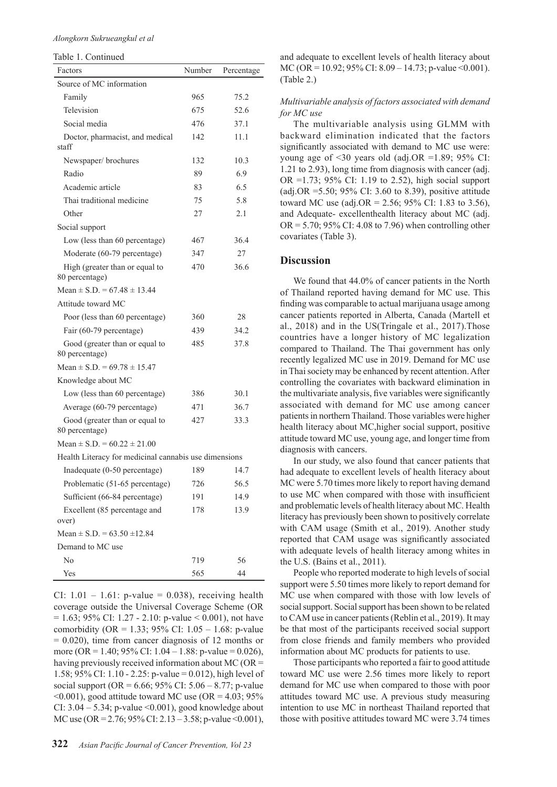#### *Alongkorn Sukrueangkul et al*

Table 1. Continued

| Factors                                               | Number | Percentage |
|-------------------------------------------------------|--------|------------|
| Source of MC information                              |        |            |
| Family                                                | 965    | 75.2       |
| Television                                            | 675    | 52.6       |
| Social media                                          | 476    | 37.1       |
| Doctor, pharmacist, and medical                       | 142    | 11.1       |
| staff                                                 |        |            |
| Newspaper/brochures                                   | 132    | 10.3       |
| Radio                                                 | 89     | 6.9        |
| Academic article                                      | 83     | 6.5        |
| Thai traditional medicine                             | 75     | 5.8        |
| Other                                                 | 27     | 2.1        |
| Social support                                        |        |            |
| Low (less than 60 percentage)                         | 467    | 36.4       |
| Moderate (60-79 percentage)                           | 347    | 27         |
| High (greater than or equal to                        | 470    | 36.6       |
| 80 percentage)                                        |        |            |
| Mean $\pm$ S.D. = 67.48 $\pm$ 13.44                   |        |            |
| Attitude toward MC                                    |        |            |
| Poor (less than 60 percentage)                        | 360    | 28         |
| Fair (60-79 percentage)                               | 439    | 34.2       |
| Good (greater than or equal to<br>80 percentage)      | 485    | 37.8       |
| Mean $\pm$ S.D. = 69.78 $\pm$ 15.47                   |        |            |
| Knowledge about MC                                    |        |            |
| Low (less than 60 percentage)                         | 386    | 30.1       |
| Average (60-79 percentage)                            | 471    | 36.7       |
| Good (greater than or equal to<br>80 percentage)      | 427    | 33.3       |
| Mean $\pm$ S.D. = 60.22 $\pm$ 21.00                   |        |            |
| Health Literacy for medicinal cannabis use dimensions |        |            |
| Inadequate (0-50 percentage)                          | 189    | 14.7       |
| Problematic (51-65 percentage)                        | 726    | 56.5       |
| Sufficient (66-84 percentage)                         | 191    | 14.9       |
| Excellent (85 percentage and                          | 178    | 13.9       |
| over)                                                 |        |            |
| Mean $\pm$ S.D. = 63.50 $\pm$ 12.84                   |        |            |
| Demand to MC use                                      |        |            |
| No                                                    | 719    | 56         |
| Yes                                                   | 565    | 44         |

CI:  $1.01 - 1.61$ : p-value = 0.038), receiving health coverage outside the Universal Coverage Scheme (OR  $= 1.63$ ; 95% CI: 1.27 - 2.10: p-value < 0.001), not have comorbidity (OR = 1.33; 95% CI:  $1.05 - 1.68$ : p-value  $= 0.020$ ), time from cancer diagnosis of 12 months or more (OR = 1.40; 95% CI:  $1.04 - 1.88$ : p-value = 0.026), having previously received information about MC (OR = 1.58; 95% CI: 1.10 - 2.25: p-value = 0.012), high level of social support (OR =  $6.66$ ;  $95\%$  CI:  $5.06 - 8.77$ ; p-value  $\leq 0.001$ ), good attitude toward MC use (OR = 4.03; 95%) CI:  $3.04 - 5.34$ ; p-value <0.001), good knowledge about MC use (OR =  $2.76$ ;  $95\%$  CI:  $2.13 - 3.58$ ; p-value < 0.001),

and adequate to excellent levels of health literacy about MC (OR = 10.92; 95% CI: 8.09 – 14.73; p-value <0.001). (Table 2.)

#### *Multivariable analysis of factors associated with demand for MC use*

The multivariable analysis using GLMM with backward elimination indicated that the factors significantly associated with demand to MC use were: young age of <30 years old (adj.OR =1.89; 95% CI: 1.21 to 2.93), long time from diagnosis with cancer (adj. OR =1.73; 95% CI: 1.19 to 2.52), high social support (adj.OR =5.50; 95% CI: 3.60 to 8.39), positive attitude toward MC use (adj. $OR = 2.56$ ; 95% CI: 1.83 to 3.56), and Adequate- excellenthealth literacy about MC (adj.  $OR = 5.70$ ; 95% CI: 4.08 to 7.96) when controlling other covariates (Table 3).

## **Discussion**

We found that 44.0% of cancer patients in the North of Thailand reported having demand for MC use. This finding was comparable to actual marijuana usage among cancer patients reported in Alberta, Canada (Martell et al., 2018) and in the US(Tringale et al., 2017).Those countries have a longer history of MC legalization compared to Thailand. The Thai government has only recently legalized MC use in 2019. Demand for MC use in Thai society may be enhanced by recent attention. After controlling the covariates with backward elimination in the multivariate analysis, five variables were significantly associated with demand for MC use among cancer patients in northern Thailand. Those variables were higher health literacy about MC,higher social support, positive attitude toward MC use, young age, and longer time from diagnosis with cancers.

In our study, we also found that cancer patients that had adequate to excellent levels of health literacy about MC were 5.70 times more likely to report having demand to use MC when compared with those with insufficient and problematic levels of health literacy about MC. Health literacy has previously been shown to positively correlate with CAM usage (Smith et al., 2019). Another study reported that CAM usage was significantly associated with adequate levels of health literacy among whites in the U.S. (Bains et al., 2011).

People who reported moderate to high levels of social support were 5.50 times more likely to report demand for MC use when compared with those with low levels of social support. Social support has been shown to be related to CAM use in cancer patients (Reblin et al., 2019). It may be that most of the participants received social support from close friends and family members who provided information about MC products for patients to use.

Those participants who reported a fair to good attitude toward MC use were 2.56 times more likely to report demand for MC use when compared to those with poor attitudes toward MC use. A previous study measuring intention to use MC in northeast Thailand reported that those with positive attitudes toward MC were 3.74 times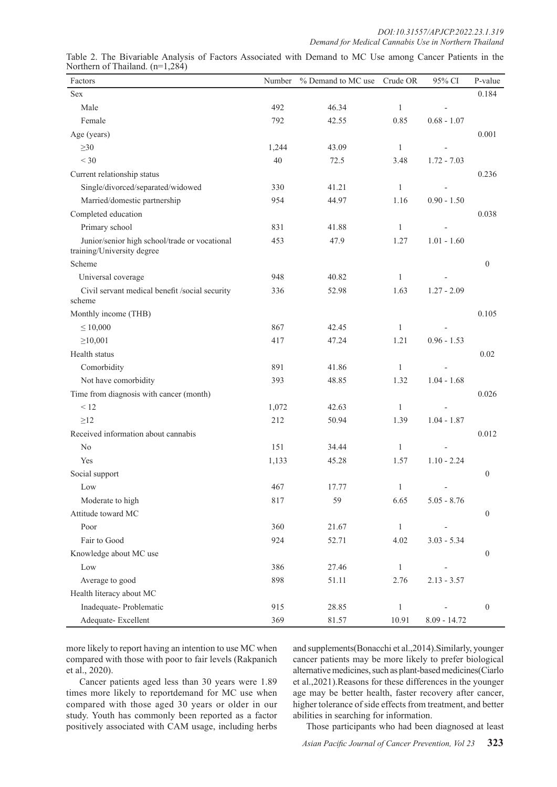| Factors                                                                     | Number | % Demand to MC use | Crude OR     | 95% CI         | P-value          |
|-----------------------------------------------------------------------------|--------|--------------------|--------------|----------------|------------------|
| Sex                                                                         |        |                    |              |                | 0.184            |
| Male                                                                        | 492    | 46.34              | $\mathbf{1}$ |                |                  |
| Female                                                                      | 792    | 42.55              | 0.85         | $0.68 - 1.07$  |                  |
| Age (years)                                                                 |        |                    |              |                | 0.001            |
| $\geq 30$                                                                   | 1,244  | 43.09              | $\mathbf{1}$ |                |                  |
| $<$ 30                                                                      | 40     | 72.5               | 3.48         | $1.72 - 7.03$  |                  |
| Current relationship status                                                 |        |                    |              |                | 0.236            |
| Single/divorced/separated/widowed                                           | 330    | 41.21              | $\mathbf{1}$ | $\overline{a}$ |                  |
| Married/domestic partnership                                                | 954    | 44.97              | 1.16         | $0.90 - 1.50$  |                  |
| Completed education                                                         |        |                    |              |                | 0.038            |
| Primary school                                                              | 831    | 41.88              | $\mathbf{1}$ |                |                  |
| Junior/senior high school/trade or vocational<br>training/University degree | 453    | 47.9               | 1.27         | $1.01 - 1.60$  |                  |
| Scheme                                                                      |        |                    |              |                | $\theta$         |
| Universal coverage                                                          | 948    | 40.82              | $\mathbf{1}$ |                |                  |
| Civil servant medical benefit /social security<br>scheme                    | 336    | 52.98              | 1.63         | $1.27 - 2.09$  |                  |
| Monthly income (THB)                                                        |        |                    |              |                | 0.105            |
| $\leq 10,000$                                                               | 867    | 42.45              | 1            |                |                  |
| $\geq 10,001$                                                               | 417    | 47.24              | 1.21         | $0.96 - 1.53$  |                  |
| Health status                                                               |        |                    |              |                | 0.02             |
| Comorbidity                                                                 | 891    | 41.86              | $\mathbf{1}$ |                |                  |
| Not have comorbidity                                                        | 393    | 48.85              | 1.32         | $1.04 - 1.68$  |                  |
| Time from diagnosis with cancer (month)                                     |        |                    |              |                | 0.026            |
| < 12                                                                        | 1,072  | 42.63              | $\mathbf{1}$ |                |                  |
| $\geq$ 12                                                                   | 212    | 50.94              | 1.39         | $1.04 - 1.87$  |                  |
| Received information about cannabis                                         |        |                    |              |                | 0.012            |
| No                                                                          | 151    | 34.44              | $\mathbf{1}$ |                |                  |
| Yes                                                                         | 1,133  | 45.28              | 1.57         | $1.10 - 2.24$  |                  |
| Social support                                                              |        |                    |              |                | $\boldsymbol{0}$ |
| Low                                                                         | 467    | 17.77              | 1            |                |                  |
| Moderate to high                                                            | 817    | 59                 | 6.65         | $5.05 - 8.76$  |                  |
| Attitude toward MC                                                          |        |                    |              |                | $\boldsymbol{0}$ |
| Poor                                                                        | 360    | 21.67              | $\mathbf{1}$ |                |                  |
| Fair to Good                                                                | 924    | 52.71              | 4.02         | $3.03 - 5.34$  |                  |
| Knowledge about MC use                                                      |        |                    |              |                | $\boldsymbol{0}$ |
| Low                                                                         | 386    | 27.46              | $\mathbf{1}$ |                |                  |
| Average to good                                                             | 898    | 51.11              | 2.76         | $2.13 - 3.57$  |                  |
| Health literacy about MC                                                    |        |                    |              |                |                  |
| Inadequate-Problematic                                                      | 915    | 28.85              | $\mathbf{1}$ |                | $\boldsymbol{0}$ |
| Adequate-Excellent                                                          | 369    | 81.57              | 10.91        | $8.09 - 14.72$ |                  |

Table 2. The Bivariable Analysis of Factors Associated with Demand to MC Use among Cancer Patients in the Northern of Thailand. (n=1,284)

more likely to report having an intention to use MC when compared with those with poor to fair levels (Rakpanich et al., 2020).

Cancer patients aged less than 30 years were 1.89 times more likely to reportdemand for MC use when compared with those aged 30 years or older in our study. Youth has commonly been reported as a factor positively associated with CAM usage, including herbs

and supplements(Bonacchi et al.,2014).Similarly, younger cancer patients may be more likely to prefer biological alternative medicines, such as plant-based medicines(Ciarlo et al.,2021).Reasons for these differences in the younger age may be better health, faster recovery after cancer, higher tolerance of side effects from treatment, and better abilities in searching for information.

Those participants who had been diagnosed at least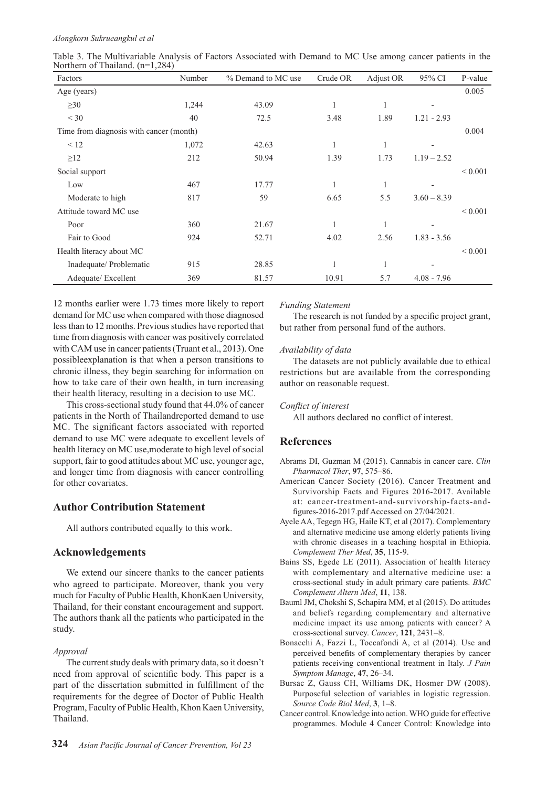#### *Alongkorn Sukrueangkul et al*

| Factors                                 | Number | % Demand to MC use | Crude OR | Adjust OR | 95% CI                   | P-value     |
|-----------------------------------------|--------|--------------------|----------|-----------|--------------------------|-------------|
| Age (years)                             |        |                    |          |           |                          | 0.005       |
| $\geq 30$                               | 1,244  | 43.09              |          | 1         |                          |             |
| $<$ 30                                  | 40     | 72.5               | 3.48     | 1.89      | $1.21 - 2.93$            |             |
| Time from diagnosis with cancer (month) |        |                    |          |           |                          | 0.004       |
| < 12                                    | 1,072  | 42.63              | 1        | 1         | $\overline{\phantom{a}}$ |             |
| $\geq$ 12                               | 212    | 50.94              | 1.39     | 1.73      | $1.19 - 2.52$            |             |
| Social support                          |        |                    |          |           |                          | ${}< 0.001$ |
| Low                                     | 467    | 17.77              | 1        | 1         | $\overline{\phantom{a}}$ |             |
| Moderate to high                        | 817    | 59                 | 6.65     | 5.5       | $3.60 - 8.39$            |             |
| Attitude toward MC use                  |        |                    |          |           |                          | ${}< 0.001$ |
| Poor                                    | 360    | 21.67              | 1        | 1         | $\overline{\phantom{a}}$ |             |
| Fair to Good                            | 924    | 52.71              | 4.02     | 2.56      | $1.83 - 3.56$            |             |
| Health literacy about MC                |        |                    |          |           |                          | ${}< 0.001$ |
| Inadequate/ Problematic                 | 915    | 28.85              | 1        | 1         |                          |             |
| Adequate/Excellent                      | 369    | 81.57              | 10.91    | 5.7       | $4.08 - 7.96$            |             |

Table 3. The Multivariable Analysis of Factors Associated with Demand to MC Use among cancer patients in the Northern of Thailand. (n=1,284)

12 months earlier were 1.73 times more likely to report demand for MC use when compared with those diagnosed less than to 12 months. Previous studies have reported that time from diagnosis with cancer was positively correlated with CAM use in cancer patients (Truant et al., 2013). One possibleexplanation is that when a person transitions to chronic illness, they begin searching for information on how to take care of their own health, in turn increasing their health literacy, resulting in a decision to use MC.

This cross-sectional study found that 44.0% of cancer patients in the North of Thailandreported demand to use MC. The significant factors associated with reported demand to use MC were adequate to excellent levels of health literacy on MC use,moderate to high level of social support, fair to good attitudes about MC use, younger age, and longer time from diagnosis with cancer controlling for other covariates.

# **Author Contribution Statement**

All authors contributed equally to this work.

# **Acknowledgements**

We extend our sincere thanks to the cancer patients who agreed to participate. Moreover, thank you very much for Faculty of Public Health, KhonKaen University, Thailand, for their constant encouragement and support. The authors thank all the patients who participated in the study.

# *Approval*

The current study deals with primary data, so it doesn't need from approval of scientific body. This paper is a part of the dissertation submitted in fulfillment of the requirements for the degree of Doctor of Public Health Program, Faculty of Public Health, Khon Kaen University, Thailand.

# *Funding Statement*

The research is not funded by a specific project grant, but rather from personal fund of the authors.

# *Availability of data*

The datasets are not publicly available due to ethical restrictions but are available from the corresponding author on reasonable request.

#### *Conflict of interest*

All authors declared no conflict of interest.

# **References**

- Abrams DI, Guzman M (2015). Cannabis in cancer care. *Clin Pharmacol Ther*, **97**, 575–86.
- American Cancer Society (2016). Cancer Treatment and Survivorship Facts and Figures 2016-2017. Available at: cancer-treatment-and-survivorship-facts-andfigures-2016-2017.pdf Accessed on 27/04/2021.
- Ayele AA, Tegegn HG, Haile KT, et al (2017). Complementary and alternative medicine use among elderly patients living with chronic diseases in a teaching hospital in Ethiopia. *Complement Ther Med*, **35**, 115-9.
- Bains SS, Egede LE (2011). Association of health literacy with complementary and alternative medicine use: a cross-sectional study in adult primary care patients. *BMC Complement Altern Med*, **11**, 138.
- Bauml JM, Chokshi S, Schapira MM, et al (2015). Do attitudes and beliefs regarding complementary and alternative medicine impact its use among patients with cancer? A cross-sectional survey. *Cancer*, **121**, 2431–8.
- Bonacchi A, Fazzi L, Toccafondi A, et al (2014). Use and perceived benefits of complementary therapies by cancer patients receiving conventional treatment in Italy. *J Pain Symptom Manage*, **47**, 26–34.
- Bursac Z, Gauss CH, Williams DK, Hosmer DW (2008). Purposeful selection of variables in logistic regression. *Source Code Biol Med*, **3**, 1–8.
- Cancer control. Knowledge into action. WHO guide for effective programmes. Module 4 Cancer Control: Knowledge into